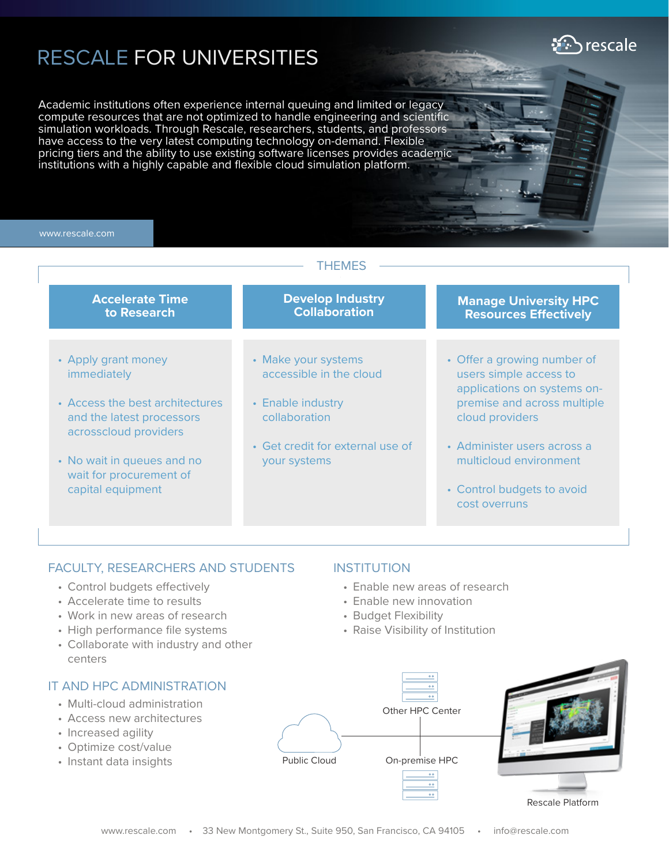# RESCALE FOR UNIVERSITIES

Academic institutions often experience internal queuing and limited or legacy compute resources that are not optimized to handle engineering and scientific simulation workloads. Through Rescale, researchers, students, and professors have access to the very latest computing technology on-demand. Flexible pricing tiers and the ability to use existing software licenses provides academic institutions with a highly capable and flexible cloud simulation platform.

#### www.rescale.com

| THEMES                                                                                                                                                                                                           |                                                                                                                                          |                                                                                                                                                                                                                                                |
|------------------------------------------------------------------------------------------------------------------------------------------------------------------------------------------------------------------|------------------------------------------------------------------------------------------------------------------------------------------|------------------------------------------------------------------------------------------------------------------------------------------------------------------------------------------------------------------------------------------------|
| <b>Accelerate Time</b><br>to Research                                                                                                                                                                            | <b>Develop Industry</b><br><b>Collaboration</b>                                                                                          | <b>Manage University HPC</b><br><b>Resources Effectively</b>                                                                                                                                                                                   |
| • Apply grant money<br><i>immediately</i><br>• Access the best architectures<br>and the latest processors<br>acrosscloud providers<br>• No wait in queues and no<br>wait for procurement of<br>capital equipment | • Make your systems<br>accessible in the cloud<br>• Enable industry<br>collaboration<br>• Get credit for external use of<br>your systems | • Offer a growing number of<br>users simple access to<br>applications on systems on-<br>premise and across multiple<br>cloud providers<br>• Administer users across a<br>multicloud environment<br>• Control budgets to avoid<br>cost overruns |

## FACULTY, RESEARCHERS AND STUDENTS

- Control budgets effectively
- Accelerate time to results
- Work in new areas of research
- High performance file systems
- Collaborate with industry and other centers

## IT AND HPC ADMINISTRATION

- Multi-cloud administration
- Access new architectures
- Increased agility
- Optimize cost/value
- Instant data insights

### INSTITUTION

- Enable new areas of research
- Enable new innovation
- Budget Flexibility
- Raise Visibility of Institution